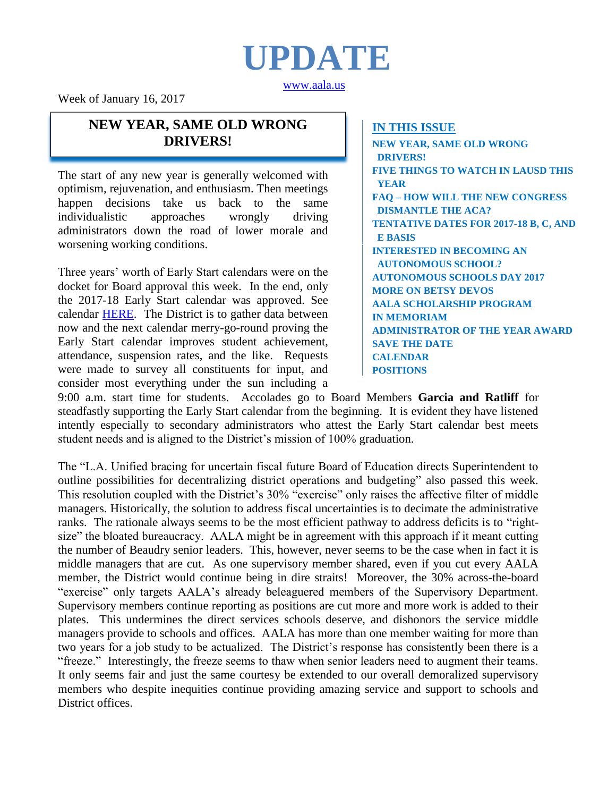

[www.aala.us](http://www.aala.us/)

Week of January 16, 2017

## **NEW YEAR, SAME OLD WRONG DRIVERS!**

The start of any new year is generally welcomed with optimism, rejuvenation, and enthusiasm. Then meetings happen decisions take us back to the same individualistic approaches wrongly driving administrators down the road of lower morale and worsening working conditions.

Three years' worth of Early Start calendars were on the docket for Board approval this week. In the end, only the 2017-18 Early Start calendar was approved. See calendar [HERE.](http://www.aala.us/docs/2017/01/Single-Track-School-Calendar-2017-2018.pdf) The District is to gather data between now and the next calendar merry-go-round proving the Early Start calendar improves student achievement, attendance, suspension rates, and the like. Requests were made to survey all constituents for input, and consider most everything under the sun including a

### **IN THIS ISSUE**

**NEW YEAR, SAME OLD WRONG DRIVERS! FIVE THINGS TO WATCH IN LAUSD THIS YEAR FAQ – HOW WILL THE NEW CONGRESS DISMANTLE THE ACA? TENTATIVE DATES FOR 2017-18 B, C, AND E BASIS INTERESTED IN BECOMING AN AUTONOMOUS SCHOOL? AUTONOMOUS SCHOOLS DAY 2017 MORE ON BETSY DEVOS AALA SCHOLARSHIP PROGRAM IN MEMORIAM ADMINISTRATOR OF THE YEAR AWARD SAVE THE DATE CALENDAR POSITIONS**

9:00 a.m. start time for students. Accolades go to Board Members **Garcia and Ratliff** for steadfastly supporting the Early Start calendar from the beginning. It is evident they have listened intently especially to secondary administrators who attest the Early Start calendar best meets student needs and is aligned to the District's mission of 100% graduation.

The "L.A. Unified bracing for uncertain fiscal future Board of Education directs Superintendent to outline possibilities for decentralizing district operations and budgeting" also passed this week. This resolution coupled with the District's 30% "exercise" only raises the affective filter of middle managers. Historically, the solution to address fiscal uncertainties is to decimate the administrative ranks. The rationale always seems to be the most efficient pathway to address deficits is to "rightsize" the bloated bureaucracy. AALA might be in agreement with this approach if it meant cutting the number of Beaudry senior leaders. This, however, never seems to be the case when in fact it is middle managers that are cut. As one supervisory member shared, even if you cut every AALA member, the District would continue being in dire straits! Moreover, the 30% across-the-board "exercise" only targets AALA's already beleaguered members of the Supervisory Department. Supervisory members continue reporting as positions are cut more and more work is added to their plates. This undermines the direct services schools deserve, and dishonors the service middle managers provide to schools and offices. AALA has more than one member waiting for more than two years for a job study to be actualized. The District's response has consistently been there is a "freeze." Interestingly, the freeze seems to thaw when senior leaders need to augment their teams. It only seems fair and just the same courtesy be extended to our overall demoralized supervisory members who despite inequities continue providing amazing service and support to schools and District offices.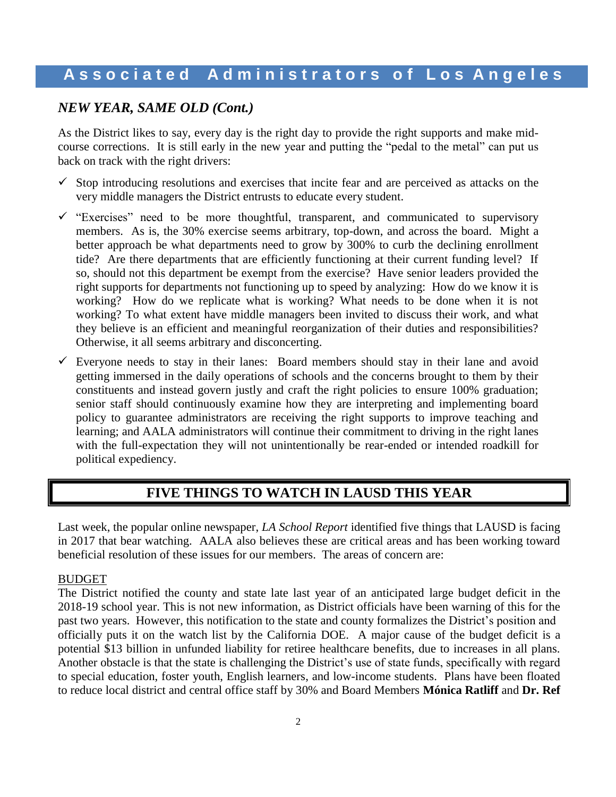### *NEW YEAR, SAME OLD (Cont.)*

As the District likes to say, every day is the right day to provide the right supports and make midcourse corrections. It is still early in the new year and putting the "pedal to the metal" can put us back on track with the right drivers:

- $\checkmark$  Stop introducing resolutions and exercises that incite fear and are perceived as attacks on the very middle managers the District entrusts to educate every student.
- $\checkmark$  "Exercises" need to be more thoughtful, transparent, and communicated to supervisory members. As is, the 30% exercise seems arbitrary, top-down, and across the board. Might a better approach be what departments need to grow by 300% to curb the declining enrollment tide? Are there departments that are efficiently functioning at their current funding level? If so, should not this department be exempt from the exercise? Have senior leaders provided the right supports for departments not functioning up to speed by analyzing: How do we know it is working? How do we replicate what is working? What needs to be done when it is not working? To what extent have middle managers been invited to discuss their work, and what they believe is an efficient and meaningful reorganization of their duties and responsibilities? Otherwise, it all seems arbitrary and disconcerting.
- Everyone needs to stay in their lanes: Board members should stay in their lane and avoid getting immersed in the daily operations of schools and the concerns brought to them by their constituents and instead govern justly and craft the right policies to ensure 100% graduation; senior staff should continuously examine how they are interpreting and implementing board policy to guarantee administrators are receiving the right supports to improve teaching and learning; and AALA administrators will continue their commitment to driving in the right lanes with the full-expectation they will not unintentionally be rear-ended or intended roadkill for political expediency.

## **FIVE THINGS TO WATCH IN LAUSD THIS YEAR**

Last week, the popular online newspaper, *LA School Report* identified five things that LAUSD is facing in 2017 that bear watching. AALA also believes these are critical areas and has been working toward beneficial resolution of these issues for our members. The areas of concern are:

#### BUDGET

The District notified the county and state late last year of an anticipated large budget deficit in the 2018-19 school year. This is not new information, as District officials have been warning of this for the past two years. However, this notification to the state and county formalizes the District's position and officially puts it on the watch list by the California DOE. A major cause of the budget deficit is a potential \$13 billion in unfunded liability for retiree healthcare benefits, due to increases in all plans. Another obstacle is that the state is challenging the District's use of state funds, specifically with regard to special education, foster youth, English learners, and low-income students. Plans have been floated to reduce local district and central office staff by 30% and Board Members **Mónica Ratliff** and **Dr. Ref**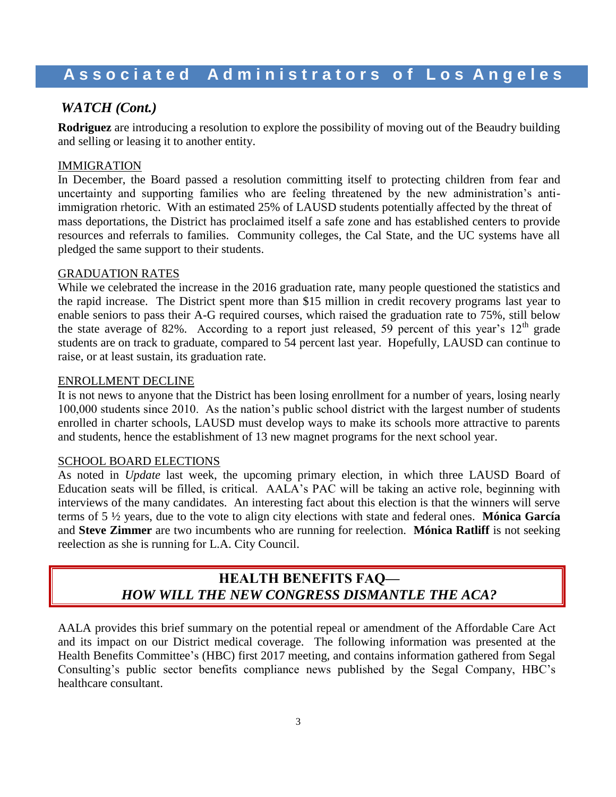## *WATCH (Cont.)*

**Rodriguez** are introducing a resolution to explore the possibility of moving out of the Beaudry building and selling or leasing it to another entity.

### IMMIGRATION

In December, the Board passed a resolution committing itself to protecting children from fear and uncertainty and supporting families who are feeling threatened by the new administration's antiimmigration rhetoric. With an estimated 25% of LAUSD students potentially affected by the threat of mass deportations, the District has proclaimed itself a safe zone and has established centers to provide resources and referrals to families. Community colleges, the Cal State, and the UC systems have all pledged the same support to their students.

### GRADUATION RATES

While we celebrated the increase in the 2016 graduation rate, many people questioned the statistics and the rapid increase. The District spent more than \$15 million in credit recovery programs last year to enable seniors to pass their A-G required courses, which raised the graduation rate to 75%, still below the state average of 82%. According to a report just released, 59 percent of this year's  $12<sup>th</sup>$  grade students are on track to graduate, compared to 54 percent last year. Hopefully, LAUSD can continue to raise, or at least sustain, its graduation rate.

### ENROLLMENT DECLINE

It is not news to anyone that the District has been losing enrollment for a number of years, losing nearly 100,000 students since 2010. As the nation's public school district with the largest number of students enrolled in charter schools, LAUSD must develop ways to make its schools more attractive to parents and students, hence the establishment of 13 new magnet programs for the next school year.

### SCHOOL BOARD ELECTIONS

As noted in *Update* last week, the upcoming primary election, in which three LAUSD Board of Education seats will be filled, is critical. AALA's PAC will be taking an active role, beginning with interviews of the many candidates. An interesting fact about this election is that the winners will serve terms of 5 ½ years, due to the vote to align city elections with state and federal ones. **Mónica García** and **Steve Zimmer** are two incumbents who are running for reelection. **Mónica Ratliff** is not seeking reelection as she is running for L.A. City Council.

## **HEALTH BENEFITS FAQ—** *HOW WILL THE NEW CONGRESS DISMANTLE THE ACA?*

AALA provides this brief summary on the potential repeal or amendment of the Affordable Care Act and its impact on our District medical coverage. The following information was presented at the Health Benefits Committee's (HBC) first 2017 meeting, and contains information gathered from Segal Consulting's public sector benefits compliance news published by the Segal Company, HBC's healthcare consultant.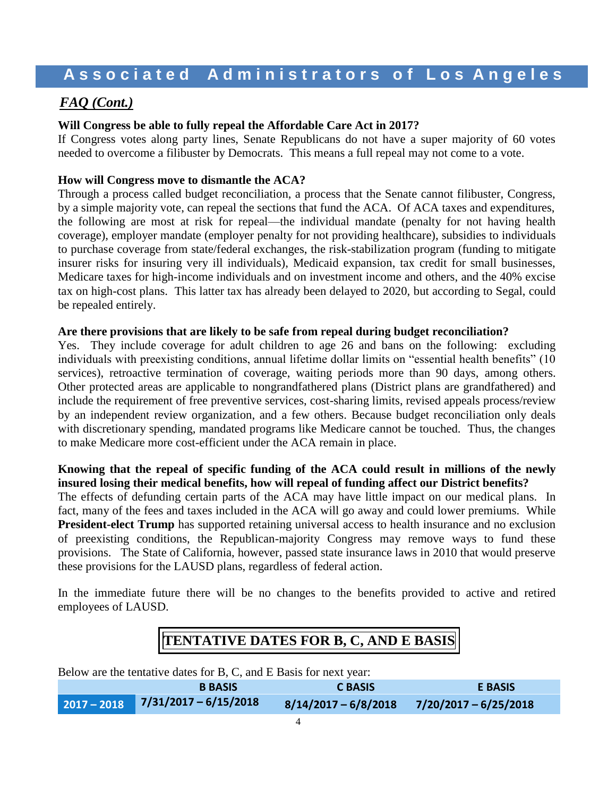## *FAQ (Cont.)*

### **Will Congress be able to fully repeal the Affordable Care Act in 2017?**

If Congress votes along party lines, Senate Republicans do not have a super majority of 60 votes needed to overcome a filibuster by Democrats. This means a full repeal may not come to a vote.

### **How will Congress move to dismantle the ACA?**

Through a process called budget reconciliation, a process that the Senate cannot filibuster, Congress, by a simple majority vote, can repeal the sections that fund the ACA. Of ACA taxes and expenditures, the following are most at risk for repeal—the individual mandate (penalty for not having health coverage), employer mandate (employer penalty for not providing healthcare), subsidies to individuals to purchase coverage from state/federal exchanges, the risk-stabilization program (funding to mitigate insurer risks for insuring very ill individuals), Medicaid expansion, tax credit for small businesses, Medicare taxes for high-income individuals and on investment income and others, and the 40% excise tax on high-cost plans. This latter tax has already been delayed to 2020, but according to Segal, could be repealed entirely.

#### **Are there provisions that are likely to be safe from repeal during budget reconciliation?**

Yes. They include coverage for adult children to age 26 and bans on the following: excluding individuals with preexisting conditions, annual lifetime dollar limits on "essential health benefits" (10 services), retroactive termination of coverage, waiting periods more than 90 days, among others. Other protected areas are applicable to nongrandfathered plans (District plans are grandfathered) and include the requirement of free preventive services, cost-sharing limits, revised appeals process/review by an independent review organization, and a few others. Because budget reconciliation only deals with discretionary spending, mandated programs like Medicare cannot be touched. Thus, the changes to make Medicare more cost-efficient under the ACA remain in place.

### **Knowing that the repeal of specific funding of the ACA could result in millions of the newly insured losing their medical benefits, how will repeal of funding affect our District benefits?**

The effects of defunding certain parts of the ACA may have little impact on our medical plans. In fact, many of the fees and taxes included in the ACA will go away and could lower premiums. While **President-elect Trump** has supported retaining universal access to health insurance and no exclusion of preexisting conditions, the Republican-majority Congress may remove ways to fund these provisions. The State of California, however, passed state insurance laws in 2010 that would preserve these provisions for the LAUSD plans, regardless of federal action.

In the immediate future there will be no changes to the benefits provided to active and retired employees of LAUSD.

## **TENTATIVE DATES FOR B, C, AND E BASIS**

Below are the tentative dates for B, C, and E Basis for next year:

| <b>B BASIS</b>                      | <b>C BASIS</b> | <b>E BASIS</b>                                 |
|-------------------------------------|----------------|------------------------------------------------|
| $2017 - 2018$ 7/31/2017 - 6/15/2018 |                | $8/14/2017 - 6/8/2018$ $7/20/2017 - 6/25/2018$ |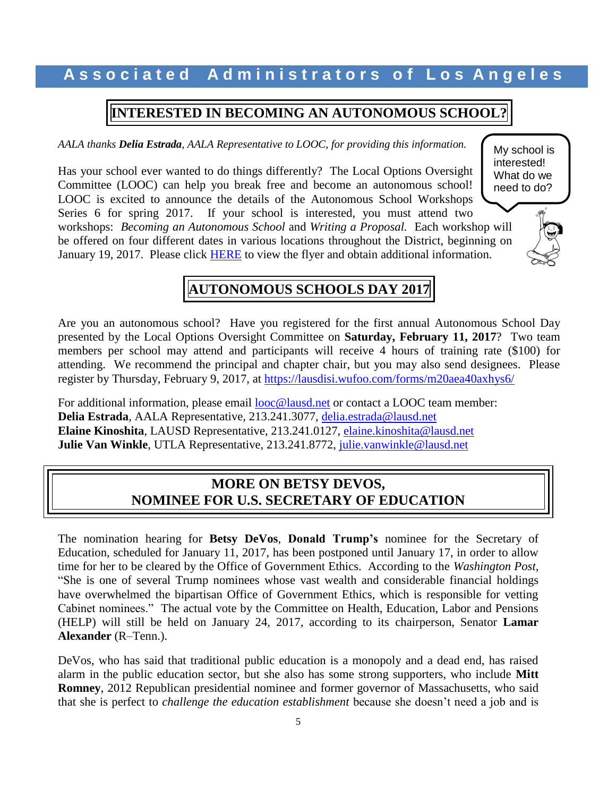## **INTERESTED IN BECOMING AN AUTONOMOUS SCHOOL?**

*AALA thanks Delia Estrada, AALA Representative to LOOC, for providing this information.*

Has your school ever wanted to do things differently? The Local Options Oversight Committee (LOOC) can help you break free and become an autonomous school! LOOC is excited to announce the details of the Autonomous School Workshops Series 6 for spring 2017. If your school is interested, you must attend two workshops: *Becoming an Autonomous School* and *Writing a Proposal.* Each workshop will be offered on four different dates in various locations throughout the District, beginning on January 19, 2017. Please click [HERE](http://www.aala.us/docs/2017/01/Autonomous-workshop-flyer-2016-2017-3.pdf) to view the flyer and obtain additional information.





# **AUTONOMOUS SCHOOLS DAY 2017**

Are you an autonomous school? Have you registered for the first annual Autonomous School Day presented by the Local Options Oversight Committee on **Saturday, February 11, 2017**? Two team members per school may attend and participants will receive 4 hours of training rate (\$100) for attending. We recommend the principal and chapter chair, but you may also send designees. Please register by Thursday, February 9, 2017, at<https://lausdisi.wufoo.com/forms/m20aea40axhys6/>

For additional information, please email [looc@lausd.net](mailto:looc@lausd.net) or contact a LOOC team member: **Delia Estrada**, AALA Representative, 213.241.3077, [delia.estrada@lausd.net](mailto:delia.estrada@lausd.net) **Elaine Kinoshita**, LAUSD Representative, 213.241.0127, [elaine.kinoshita@lausd.net](mailto:elaine.kinoshita@lausd.net) **Julie Van Winkle**, UTLA Representative, 213.241.8772, [julie.vanwinkle@lausd.net](mailto:julie.vanwinkle@lausd.net)

## **MORE ON BETSY DEVOS, NOMINEE FOR U.S. SECRETARY OF EDUCATION**

The nomination hearing for **Betsy DeVos**, **Donald Trump's** nominee for the Secretary of Education, scheduled for January 11, 2017, has been postponed until January 17, in order to allow time for her to be cleared by the Office of Government Ethics. According to the *Washington Post*, "She is one of several Trump nominees whose vast wealth and considerable financial holdings have overwhelmed the bipartisan Office of Government Ethics, which is responsible for vetting Cabinet nominees." The actual vote by the Committee on Health, Education, Labor and Pensions (HELP) will still be held on January 24, 2017, according to its chairperson, Senator **Lamar Alexander** (R–Tenn.).

DeVos, who has said that traditional public education is a monopoly and a dead end, has raised alarm in the public education sector, but she also has some strong supporters, who include **Mitt Romney**, 2012 Republican presidential nominee and former governor of Massachusetts, who said that she is perfect to *challenge the education establishment* because she doesn't need a job and is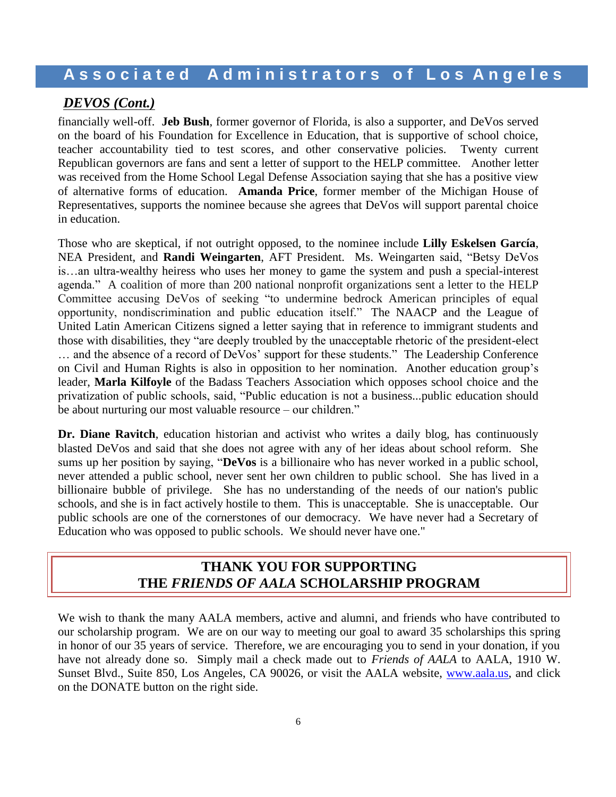## *DEVOS (Cont.)*

financially well-off. **Jeb Bush**, former governor of Florida, is also a supporter, and DeVos served on the board of his Foundation for Excellence in Education, that is supportive of school choice, teacher accountability tied to test scores, and other conservative policies. Twenty current Republican governors are fans and sent a letter of support to the HELP committee. Another letter was received from the Home School Legal Defense Association saying that she has a positive view of alternative forms of education. **Amanda Price**, former member of the Michigan House of Representatives, supports the nominee because she agrees that DeVos will support parental choice in education.

Those who are skeptical, if not outright opposed, to the nominee include **Lilly Eskelsen García**, NEA President, and **Randi Weingarten**, AFT President. Ms. Weingarten said, "Betsy DeVos is…an ultra-wealthy heiress who uses her money to game the system and push a special-interest agenda." A coalition of more than 200 national nonprofit organizations sent a letter to the HELP Committee accusing DeVos of seeking "to undermine bedrock American principles of equal opportunity, nondiscrimination and public education itself." The NAACP and the League of United Latin American Citizens signed a letter saying that in reference to immigrant students and those with disabilities, they "are deeply troubled by the unacceptable rhetoric of the president-elect … and the absence of a record of DeVos' support for these students." The Leadership Conference on Civil and Human Rights is also in opposition to her nomination. Another education group's leader, **Marla Kilfoyle** of the Badass Teachers Association which opposes school choice and the privatization of public schools, said, "Public education is not a business...public education should be about nurturing our most valuable resource – our children."

**Dr. Diane Ravitch**, education historian and activist who writes a daily blog, has continuously blasted DeVos and said that she does not agree with any of her ideas about school reform. She sums up her position by saying, "**DeVos** is a billionaire who has never worked in a public school, never attended a public school, never sent her own children to public school. She has lived in a billionaire bubble of privilege. She has no understanding of the needs of our nation's public schools, and she is in fact actively hostile to them. This is unacceptable. She is unacceptable. Our public schools are one of the cornerstones of our democracy. We have never had a Secretary of Education who was opposed to public schools. We should never have one."

## **THANK YOU FOR SUPPORTING THE** *FRIENDS OF AALA* **SCHOLARSHIP PROGRAM**

We wish to thank the many AALA members, active and alumni, and friends who have contributed to our scholarship program. We are on our way to meeting our goal to award 35 scholarships this spring in honor of our 35 years of service. Therefore, we are encouraging you to send in your donation, if you have not already done so. Simply mail a check made out to *Friends of AALA* to AALA, 1910 W. Sunset Blvd., Suite 850, Los Angeles, CA 90026, or visit the AALA website, [www.aala.us,](http://www.aala.us/) and click on the DONATE button on the right side.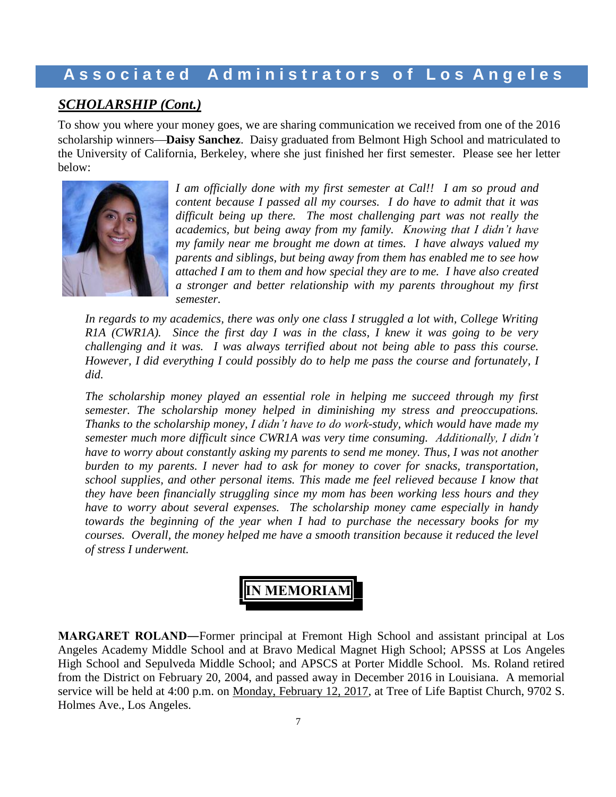## *SCHOLARSHIP (Cont.)*

To show you where your money goes, we are sharing communication we received from one of the 2016 scholarship winners**Daisy Sanchez**. Daisy graduated from Belmont High School and matriculated to the University of California, Berkeley, where she just finished her first semester. Please see her letter below:



*I am officially done with my first semester at Cal!! I am so proud and content because I passed all my courses. I do have to admit that it was difficult being up there. The most challenging part was not really the academics, but being away from my family. Knowing that I didn't have my family near me brought me down at times. I have always valued my parents and siblings, but being away from them has enabled me to see how attached I am to them and how special they are to me. I have also created a stronger and better relationship with my parents throughout my first semester.* 

*In regards to my academics, there was only one class I struggled a lot with, College Writing R1A (CWR1A). Since the first day I was in the class, I knew it was going to be very challenging and it was. I was always terrified about not being able to pass this course. However, I did everything I could possibly do to help me pass the course and fortunately, I did.* 

*The scholarship money played an essential role in helping me succeed through my first semester. The scholarship money helped in diminishing my stress and preoccupations. Thanks to the scholarship money, I didn't have to do work-study, which would have made my semester much more difficult since CWR1A was very time consuming. Additionally, I didn't have to worry about constantly asking my parents to send me money. Thus, I was not another burden to my parents. I never had to ask for money to cover for snacks, transportation, school supplies, and other personal items. This made me feel relieved because I know that they have been financially struggling since my mom has been working less hours and they have to worry about several expenses. The scholarship money came especially in handy towards the beginning of the year when I had to purchase the necessary books for my courses. Overall, the money helped me have a smooth transition because it reduced the level of stress I underwent.*



**MARGARET ROLAND―**Former principal at Fremont High School and assistant principal at Los Angeles Academy Middle School and at Bravo Medical Magnet High School; APSSS at Los Angeles High School and Sepulveda Middle School; and APSCS at Porter Middle School. Ms. Roland retired from the District on February 20, 2004, and passed away in December 2016 in Louisiana. A memorial service will be held at 4:00 p.m. on Monday, February 12, 2017, at Tree of Life Baptist Church, 9702 S. Holmes Ave., Los Angeles.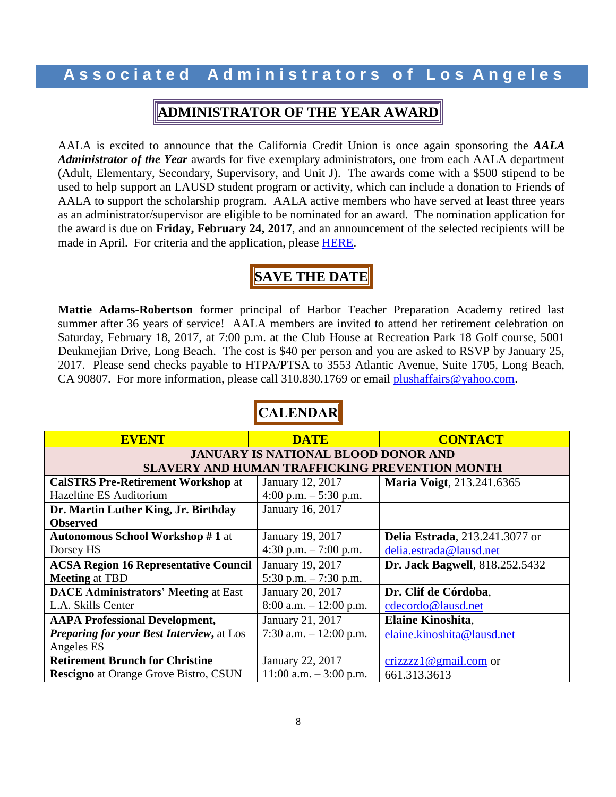## **ADMINISTRATOR OF THE YEAR AWARD**

AALA is excited to announce that the California Credit Union is once again sponsoring the *AALA Administrator of the Year* awards for five exemplary administrators, one from each AALA department (Adult, Elementary, Secondary, Supervisory, and Unit J). The awards come with a \$500 stipend to be used to help support an LAUSD student program or activity, which can include a donation to Friends of AALA to support the scholarship program. AALA active members who have served at least three years as an administrator/supervisor are eligible to be nominated for an award. The nomination application for the award is due on **Friday, February 24, 2017**, and an announcement of the selected recipients will be made in April. For criteria and the application, please **HERE**.

## **SAVE THE DATE**

**Mattie Adams-Robertson** former principal of Harbor Teacher Preparation Academy retired last summer after 36 years of service! AALA members are invited to attend her retirement celebration on Saturday, February 18, 2017, at 7:00 p.m. at the Club House at Recreation Park 18 Golf course, 5001 Deukmejian Drive, Long Beach. The cost is \$40 per person and you are asked to RSVP by January 25, 2017. Please send checks payable to HTPA/PTSA to 3553 Atlantic Avenue, Suite 1705, Long Beach, CA 90807. For more information, please call 310.830.1769 or email [plushaffairs@yahoo.com.](mailto:plushaffairs@yahoo.com)

| <b>EVENT</b>                                          | <b>DATE</b>               | <b>CONTACT</b>                         |  |
|-------------------------------------------------------|---------------------------|----------------------------------------|--|
| <b>JANUARY IS NATIONAL BLOOD DONOR AND</b>            |                           |                                        |  |
| <b>SLAVERY AND HUMAN TRAFFICKING PREVENTION MONTH</b> |                           |                                        |  |
| <b>CalSTRS Pre-Retirement Workshop at</b>             | January 12, 2017          | <b>Maria Voigt, 213.241.6365</b>       |  |
| Hazeltine ES Auditorium                               | 4:00 p.m. $-5:30$ p.m.    |                                        |  |
| Dr. Martin Luther King, Jr. Birthday                  | January 16, 2017          |                                        |  |
| <b>Observed</b>                                       |                           |                                        |  |
| <b>Autonomous School Workshop #1 at</b>               | January 19, 2017          | <b>Delia Estrada</b> , 213.241.3077 or |  |
| Dorsey HS                                             | 4:30 p.m. $-7:00$ p.m.    | delia.estrada@lausd.net                |  |
| <b>ACSA Region 16 Representative Council</b>          | January 19, 2017          | Dr. Jack Bagwell, 818.252.5432         |  |
| <b>Meeting at TBD</b>                                 | 5:30 p.m. $-7:30$ p.m.    |                                        |  |
| <b>DACE Administrators' Meeting at East</b>           | January 20, 2017          | Dr. Clif de Córdoba,                   |  |
| L.A. Skills Center                                    | $8:00$ a.m. $-12:00$ p.m. | cdecordo@lausd.net                     |  |
| <b>AAPA Professional Development,</b>                 | January 21, 2017          | <b>Elaine Kinoshita,</b>               |  |
| <b>Preparing for your Best Interview, at Los</b>      | 7:30 a.m. $-12:00$ p.m.   | elaine.kinoshita@lausd.net             |  |
| Angeles ES                                            |                           |                                        |  |
| <b>Retirement Brunch for Christine</b>                | January 22, 2017          | $crizzz1@gmail.com$ or                 |  |
| <b>Rescigno</b> at Orange Grove Bistro, CSUN          | $11:00$ a.m. $-3:00$ p.m. | 661.313.3613                           |  |

# **CALENDAR**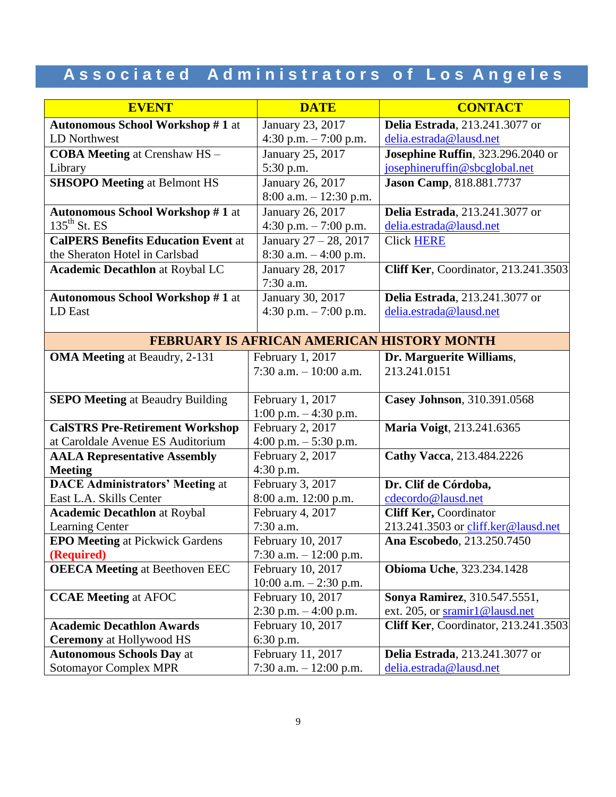| <b>EVENT</b>                                      | <b>DATE</b>              | <b>CONTACT</b>                              |  |
|---------------------------------------------------|--------------------------|---------------------------------------------|--|
| <b>Autonomous School Workshop #1 at</b>           | January 23, 2017         | Delia Estrada, 213.241.3077 or              |  |
| LD Northwest                                      | 4:30 p.m. - 7:00 p.m.    | delia.estrada@lausd.net                     |  |
| <b>COBA Meeting at Crenshaw HS-</b>               | January 25, 2017         | <b>Josephine Ruffin</b> , 323.296.2040 or   |  |
| Library                                           | 5:30 p.m.                | josephineruffin@sbcglobal.net               |  |
| <b>SHSOPO Meeting at Belmont HS</b>               | January 26, 2017         | Jason Camp, 818.881.7737                    |  |
|                                                   | 8:00 a.m. $- 12:30$ p.m. |                                             |  |
| <b>Autonomous School Workshop #1 at</b>           | January 26, 2017         | Delia Estrada, 213.241.3077 or              |  |
| $135^{\text{th}}$ St. ES                          | 4:30 p.m. $-7:00$ p.m.   | delia.estrada@lausd.net                     |  |
| <b>CalPERS Benefits Education Event at</b>        | January 27 - 28, 2017    | <b>Click HERE</b>                           |  |
| the Sheraton Hotel in Carlsbad                    | 8:30 a.m. $-4:00$ p.m.   |                                             |  |
| <b>Academic Decathlon at Roybal LC</b>            | January 28, 2017         | <b>Cliff Ker, Coordinator, 213.241.3503</b> |  |
|                                                   | 7:30 a.m.                |                                             |  |
| <b>Autonomous School Workshop #1 at</b>           | January 30, 2017         | <b>Delia Estrada</b> , 213.241.3077 or      |  |
| LD East                                           | 4:30 p.m. $-7:00$ p.m.   | delia.estrada@lausd.net                     |  |
|                                                   |                          |                                             |  |
| <b>FEBRUARY IS AFRICAN AMERICAN HISTORY MONTH</b> |                          |                                             |  |
| <b>OMA Meeting at Beaudry, 2-131</b>              | February 1, 2017         | Dr. Marguerite Williams,                    |  |
|                                                   | 7:30 a.m. $-10:00$ a.m.  | 213.241.0151                                |  |
|                                                   |                          |                                             |  |
| <b>SEPO Meeting at Beaudry Building</b>           | February 1, 2017         | Casey Johnson, 310.391.0568                 |  |
|                                                   | $1:00$ p.m. $-4:30$ p.m. |                                             |  |
| <b>CalSTRS Pre-Retirement Workshop</b>            | February 2, 2017         | Maria Voigt, 213.241.6365                   |  |
| at Caroldale Avenue ES Auditorium                 | 4:00 p.m. $-5:30$ p.m.   |                                             |  |
| <b>AALA Representative Assembly</b>               | February 2, 2017         | Cathy Vacca, 213.484.2226                   |  |
| <b>Meeting</b>                                    | 4:30 p.m.                |                                             |  |
| <b>DACE Administrators' Meeting at</b>            | February 3, 2017         | Dr. Clif de Córdoba,                        |  |
| East L.A. Skills Center                           | 8:00 a.m. 12:00 p.m.     | cdecordo@lausd.net                          |  |
| <b>Academic Decathlon at Roybal</b>               | February 4, 2017         | <b>Cliff Ker, Coordinator</b>               |  |
| <b>Learning Center</b>                            | 7:30 a.m.                | 213.241.3503 or cliff.ker@lausd.net         |  |
| <b>EPO Meeting at Pickwick Gardens</b>            | February 10, 2017        | Ana Escobedo, 213.250.7450                  |  |
| (Required)                                        | 7:30 a.m. $-12:00$ p.m.  |                                             |  |
| <b>OEECA Meeting at Beethoven EEC</b>             | February 10, 2017        | <b>Obioma Uche</b> , 323.234.1428           |  |
|                                                   | 10:00 a.m. $-2:30$ p.m.  |                                             |  |
| <b>CCAE Meeting at AFOC</b>                       | February 10, 2017        | Sonya Ramirez, 310.547.5551,                |  |
|                                                   | $2:30$ p.m. $-4:00$ p.m. | ext. 205, or sramir1@lausd.net              |  |
| <b>Academic Decathlon Awards</b>                  | February 10, 2017        | <b>Cliff Ker, Coordinator, 213.241.3503</b> |  |
| <b>Ceremony</b> at Hollywood HS                   | 6:30 p.m.                |                                             |  |
| <b>Autonomous Schools Day at</b>                  | February 11, 2017        | <b>Delia Estrada</b> , 213.241.3077 or      |  |
| <b>Sotomayor Complex MPR</b>                      | 7:30 a.m. $-12:00$ p.m.  | delia.estrada@lausd.net                     |  |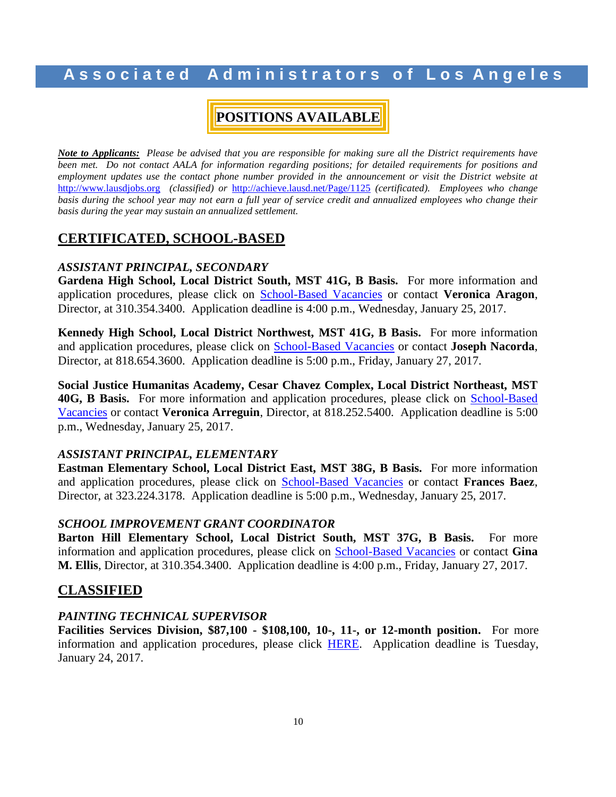## **A s s o c i a t e d A d m i n i s t r a t o r s o f L o s A n g e l e s**

# **POSITIONS AVAILABLE**

*Note to Applicants: Please be advised that you are responsible for making sure all the District requirements have been met. Do not contact AALA for information regarding positions; for detailed requirements for positions and*  employment updates use the contact phone number provided in the announcement or visit the District website at [http://www.lausdjobs.org](http://www.lausdjobs.org/) *(classified) or* <http://achieve.lausd.net/Page/1125> *(certificated). Employees who change basis during the school year may not earn a full year of service credit and annualized employees who change their basis during the year may sustain an annualized settlement.*

## **CERTIFICATED, SCHOOL-BASED**

### *ASSISTANT PRINCIPAL, SECONDARY*

**Gardena High School, Local District South, MST 41G, B Basis.** For more information and application procedures, please click on [School-Based](http://achieve.lausd.net/Page/3505) Vacancie[s](http://achieve.lausd.net/Page/3505) or contact **Veronica Aragon**, Director, at 310.354.3400. Application deadline is 4:00 p.m., Wednesday, January 25, 2017.

**Kennedy High School, Local District Northwest, MST 41G, B Basis.** For more information and application procedures, please click on [School-Based](http://achieve.lausd.net/Page/3505) Vacancie[s](http://achieve.lausd.net/Page/3505) or contact **Joseph Nacorda**, Director, at 818.654.3600. Application deadline is 5:00 p.m., Friday, January 27, 2017.

**Social Justice Humanitas Academy, Cesar Chavez Complex, Local District Northeast, MST**  40G, B Basis. For more information and application procedures, please click on **[School-Based](http://achieve.lausd.net/Page/3505)** [Vacancies](http://achieve.lausd.net/Page/3505) or contact **Veronica Arreguin**, Director, at 818.252.5400. Application deadline is 5:00 p.m., Wednesday, January 25, 2017.

#### *ASSISTANT PRINCIPAL, ELEMENTARY*

**Eastman Elementary School, Local District East, MST 38G, B Basis.** For more information and application procedures, please click on [School-Based](http://achieve.lausd.net/Page/3505) Vacancie[s](http://achieve.lausd.net/Page/3505) or contact **Frances Baez**, Director, at 323.224.3178. Application deadline is 5:00 p.m., Wednesday, January 25, 2017.

#### *SCHOOL IMPROVEMENT GRANT COORDINATOR*

**Barton Hill Elementary School, Local District South, MST 37G, B Basis.** For more information and application procedures, please click on [School-Based](http://achieve.lausd.net/Page/3505) Vacancie[s](http://achieve.lausd.net/Page/3505) or contact **Gina M. Ellis**, Director, at 310.354.3400. Application deadline is 4:00 p.m., Friday, January 27, 2017.

### **CLASSIFIED**

#### *PAINTING TECHNICAL SUPERVISOR*

**Facilities Services Division, \$87,100 - \$108,100, 10-, 11-, or 12-month position.** For more information and application procedures, please click [HERE.](https://btserec.lausd.net/sap/bc/webdynpro/sap/zerwd_a_refcode_srch_int?sap-client=910) Application deadline is Tuesday, January 24, 2017.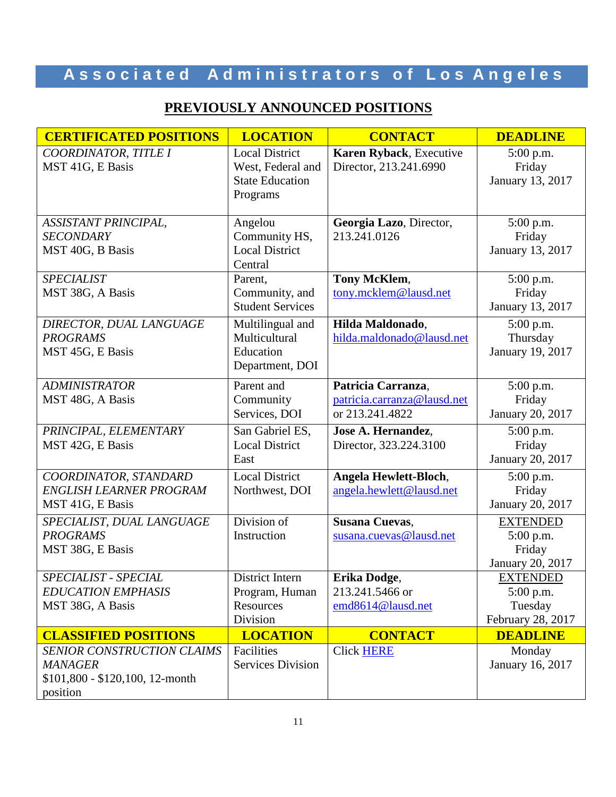# **PREVIOUSLY ANNOUNCED POSITIONS**

| <b>CERTIFICATED POSITIONS</b>                                                                                              | <b>LOCATION</b>                                                                  | <b>CONTACT</b>                                                       | <b>DEADLINE</b>                                                |
|----------------------------------------------------------------------------------------------------------------------------|----------------------------------------------------------------------------------|----------------------------------------------------------------------|----------------------------------------------------------------|
| COORDINATOR, TITLE I<br>MST 41G, E Basis                                                                                   | <b>Local District</b><br>West, Federal and<br><b>State Education</b><br>Programs | Karen Ryback, Executive<br>Director, 213.241.6990                    | $5:00$ p.m.<br>Friday<br>January 13, 2017                      |
| ASSISTANT PRINCIPAL,<br><b>SECONDARY</b><br>MST 40G, B Basis                                                               | Angelou<br>Community HS,<br><b>Local District</b><br>Central                     | Georgia Lazo, Director,<br>213.241.0126                              | 5:00 p.m.<br>Friday<br>January 13, 2017                        |
| <b>SPECIALIST</b><br>MST 38G, A Basis                                                                                      | Parent,<br>Community, and<br><b>Student Services</b>                             | Tony McKlem,<br>tony.mcklem@lausd.net                                | 5:00 p.m.<br>Friday<br>January 13, 2017                        |
| DIRECTOR, DUAL LANGUAGE<br><b>PROGRAMS</b><br>MST 45G, E Basis                                                             | Multilingual and<br>Multicultural<br>Education<br>Department, DOI                | Hilda Maldonado,<br>hilda.maldonado@lausd.net                        | 5:00 p.m.<br>Thursday<br>January 19, 2017                      |
| <b>ADMINISTRATOR</b><br>MST 48G, A Basis                                                                                   | Parent and<br>Community<br>Services, DOI                                         | Patricia Carranza,<br>patricia.carranza@lausd.net<br>or 213.241.4822 | 5:00 p.m.<br>Friday<br>January 20, 2017                        |
| PRINCIPAL, ELEMENTARY<br>MST 42G, E Basis                                                                                  | San Gabriel ES,<br><b>Local District</b><br>East                                 | Jose A. Hernandez,<br>Director, 323.224.3100                         | 5:00 p.m.<br>Friday<br>January 20, 2017                        |
| COORDINATOR, STANDARD<br>ENGLISH LEARNER PROGRAM<br>MST 41G, E Basis                                                       | <b>Local District</b><br>Northwest, DOI                                          | Angela Hewlett-Bloch,<br>angela.hewlett@lausd.net                    | 5:00 p.m.<br>Friday<br>January 20, 2017                        |
| SPECIALIST, DUAL LANGUAGE<br><b>PROGRAMS</b><br>MST 38G, E Basis                                                           | Division of<br>Instruction                                                       | <b>Susana Cuevas,</b><br>susana.cuevas@lausd.net                     | <b>EXTENDED</b><br>5:00 p.m.<br>Friday<br>January 20, 2017     |
| SPECIALIST - SPECIAL<br><b>EDUCATION EMPHASIS</b><br>MST 38G, A Basis                                                      | District Intern<br>Program, Human<br>Resources<br>Division                       | Erika Dodge,<br>213.241.5466 or<br>emd8614@lausd.net                 | <b>EXTENDED</b><br>$5:00$ p.m.<br>Tuesday<br>February 28, 2017 |
| <b>CLASSIFIED POSITIONS</b><br>SENIOR CONSTRUCTION CLAIMS<br><b>MANAGER</b><br>\$101,800 - \$120,100, 12-month<br>position | <b>LOCATION</b><br>Facilities<br><b>Services Division</b>                        | <b>CONTACT</b><br><b>Click HERE</b>                                  | <b>DEADLINE</b><br>Monday<br>January 16, 2017                  |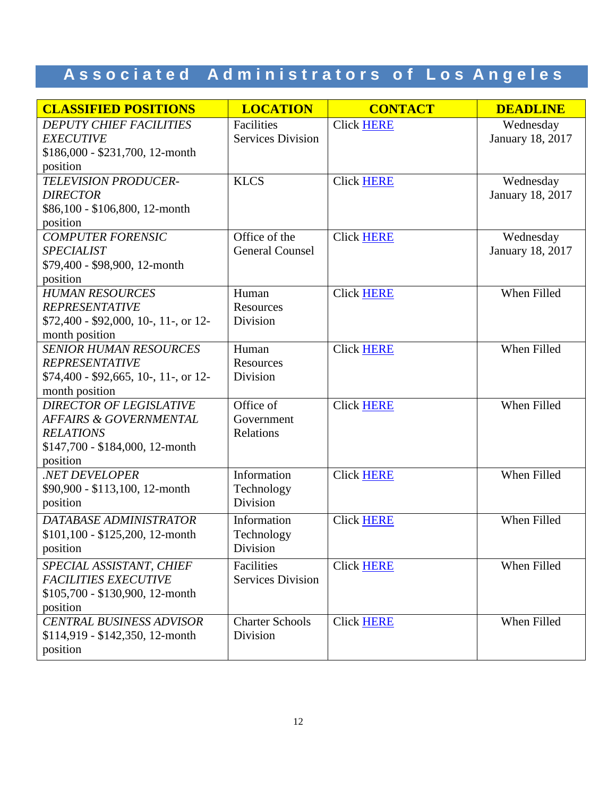| <b>CLASSIFIED POSITIONS</b>                        | <b>LOCATION</b>                        | <b>CONTACT</b>    | <b>DEADLINE</b>               |
|----------------------------------------------------|----------------------------------------|-------------------|-------------------------------|
| <b>DEPUTY CHIEF FACILITIES</b><br><b>EXECUTIVE</b> | Facilities<br><b>Services Division</b> | <b>Click HERE</b> | Wednesday<br>January 18, 2017 |
| $$186,000 - $231,700, 12$ -month<br>position       |                                        |                   |                               |
| <b>TELEVISION PRODUCER-</b>                        | <b>KLCS</b>                            | <b>Click HERE</b> | Wednesday                     |
| <b>DIRECTOR</b><br>\$86,100 - \$106,800, 12-month  |                                        |                   | January 18, 2017              |
| position                                           |                                        |                   |                               |
| <b>COMPUTER FORENSIC</b>                           | Office of the                          | <b>Click HERE</b> | Wednesday                     |
| <b>SPECIALIST</b>                                  | <b>General Counsel</b>                 |                   | January 18, 2017              |
| \$79,400 - \$98,900, 12-month                      |                                        |                   |                               |
| position<br><b>HUMAN RESOURCES</b>                 | Human                                  |                   | When Filled                   |
| <b>REPRESENTATIVE</b>                              | Resources                              | <b>Click HERE</b> |                               |
| $$72,400 - $92,000, 10-, 11-,$ or 12-              | Division                               |                   |                               |
| month position                                     |                                        |                   |                               |
| <b>SENIOR HUMAN RESOURCES</b>                      | Human                                  | <b>Click HERE</b> | When Filled                   |
| <b>REPRESENTATIVE</b>                              | Resources                              |                   |                               |
| \$74,400 - \$92,665, 10-, 11-, or 12-              | Division                               |                   |                               |
| month position                                     |                                        |                   |                               |
| <b>DIRECTOR OF LEGISLATIVE</b>                     | Office of                              | <b>Click HERE</b> | When Filled                   |
| AFFAIRS & GOVERNMENTAL                             | Government                             |                   |                               |
| <b>RELATIONS</b>                                   | Relations                              |                   |                               |
| $$147,700 - $184,000, 12$ -month                   |                                        |                   |                               |
| position<br>.NET DEVELOPER                         | Information                            | <b>Click HERE</b> | When Filled                   |
| \$90,900 - \$113,100, 12-month                     | Technology                             |                   |                               |
| position                                           | Division                               |                   |                               |
| DATABASE ADMINISTRATOR                             | Information                            | <b>Click HERE</b> | When Filled                   |
| \$101,100 - \$125,200, 12-month                    | Technology                             |                   |                               |
| position                                           | Division                               |                   |                               |
| SPECIAL ASSISTANT, CHIEF                           | Facilities                             | <b>Click HERE</b> | When Filled                   |
| <b>FACILITIES EXECUTIVE</b>                        | <b>Services Division</b>               |                   |                               |
| $$105,700 - $130,900, 12$ -month                   |                                        |                   |                               |
| position                                           |                                        |                   |                               |
| <b>CENTRAL BUSINESS ADVISOR</b>                    | <b>Charter Schools</b>                 | <b>Click HERE</b> | When Filled                   |
| $$114,919 - $142,350,12$ -month                    | Division                               |                   |                               |
| position                                           |                                        |                   |                               |